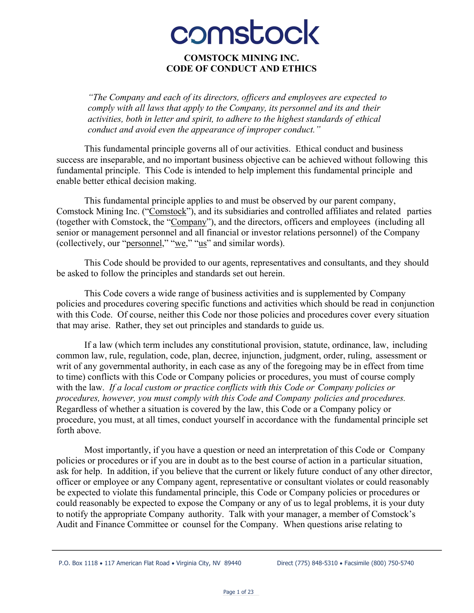# comstock

#### **COMSTOCK MINING INC. CODE OF CONDUCT AND ETHICS**

*"The Company and each of its directors, officers and employees are expected to comply with all laws that apply to the Company, its personnel and its and their activities, both in letter and spirit, to adhere to the highest standards of ethical conduct and avoid even the appearance of improper conduct."*

This fundamental principle governs all of our activities. Ethical conduct and business success are inseparable, and no important business objective can be achieved without following this fundamental principle. This Code is intended to help implement this fundamental principle and enable better ethical decision making.

This fundamental principle applies to and must be observed by our parent company, Comstock Mining Inc. ("Comstock"), and its subsidiaries and controlled affiliates and related parties (together with Comstock, the "Company"), and the directors, officers and employees (including all senior or management personnel and all financial or investor relations personnel) of the Company (collectively, our "personnel," "we," "us" and similar words).

This Code should be provided to our agents, representatives and consultants, and they should be asked to follow the principles and standards set out herein.

This Code covers a wide range of business activities and is supplemented by Company policies and procedures covering specific functions and activities which should be read in conjunction with this Code. Of course, neither this Code nor those policies and procedures cover every situation that may arise. Rather, they set out principles and standards to guide us.

If a law (which term includes any constitutional provision, statute, ordinance, law, including common law, rule, regulation, code, plan, decree, injunction, judgment, order, ruling, assessment or writ of any governmental authority, in each case as any of the foregoing may be in effect from time to time) conflicts with this Code or Company policies or procedures, you must of course comply with the law. *If a local custom or practice conflicts with this Code or Company policies or procedures, however, you must comply with this Code and Company policies and procedures.* Regardless of whether a situation is covered by the law, this Code or a Company policy or procedure, you must, at all times, conduct yourself in accordance with the fundamental principle set forth above.

Most importantly, if you have a question or need an interpretation of this Code or Company policies or procedures or if you are in doubt as to the best course of action in a particular situation, ask for help. In addition, if you believe that the current or likely future conduct of any other director, officer or employee or any Company agent, representative or consultant violates or could reasonably be expected to violate this fundamental principle, this Code or Company policies or procedures or could reasonably be expected to expose the Company or any of us to legal problems, it is your duty to notify the appropriate Company authority. Talk with your manager, a member of Comstock's Audit and Finance Committee or counsel for the Company. When questions arise relating to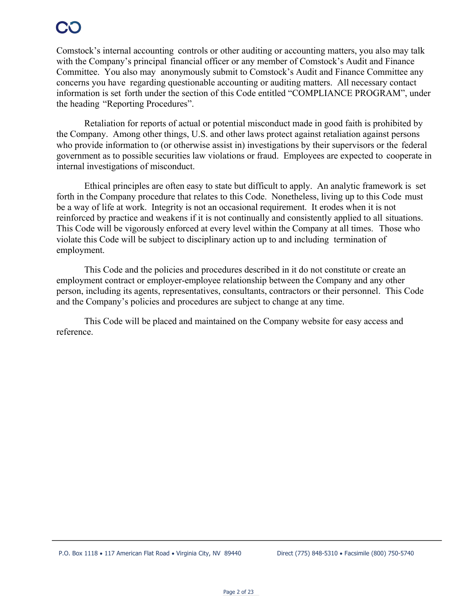Comstock's internal accounting controls or other auditing or accounting matters, you also may talk with the Company's principal financial officer or any member of Comstock's Audit and Finance Committee. You also may anonymously submit to Comstock's Audit and Finance Committee any concerns you have regarding questionable accounting or auditing matters. All necessary contact information is set forth under the section of this Code entitled "COMPLIANCE PROGRAM", under the heading "Reporting Procedures".

Retaliation for reports of actual or potential misconduct made in good faith is prohibited by the Company. Among other things, U.S. and other laws protect against retaliation against persons who provide information to (or otherwise assist in) investigations by their supervisors or the federal government as to possible securities law violations or fraud. Employees are expected to cooperate in internal investigations of misconduct.

Ethical principles are often easy to state but difficult to apply. An analytic framework is set forth in the Company procedure that relates to this Code. Nonetheless, living up to this Code must be a way of life at work. Integrity is not an occasional requirement. It erodes when it is not reinforced by practice and weakens if it is not continually and consistently applied to all situations. This Code will be vigorously enforced at every level within the Company at all times. Those who violate this Code will be subject to disciplinary action up to and including termination of employment.

This Code and the policies and procedures described in it do not constitute or create an employment contract or employer-employee relationship between the Company and any other person, including its agents, representatives, consultants, contractors or their personnel. This Code and the Company's policies and procedures are subject to change at any time.

This Code will be placed and maintained on the Company website for easy access and reference.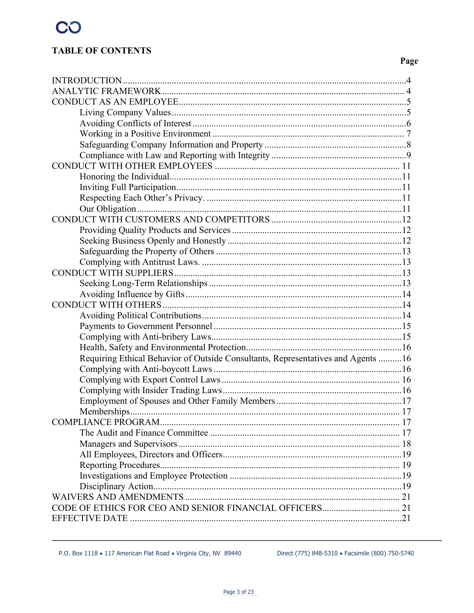### **TABLE OF CONTENTS**

### Page

| Requiring Ethical Behavior of Outside Consultants, Representatives and Agents 16 |  |
|----------------------------------------------------------------------------------|--|
|                                                                                  |  |
|                                                                                  |  |
|                                                                                  |  |
|                                                                                  |  |
|                                                                                  |  |
|                                                                                  |  |
|                                                                                  |  |
|                                                                                  |  |
|                                                                                  |  |
|                                                                                  |  |
|                                                                                  |  |
|                                                                                  |  |
|                                                                                  |  |
|                                                                                  |  |
|                                                                                  |  |

Direct (775) 848-5310 · Facsimile (800) 750-5740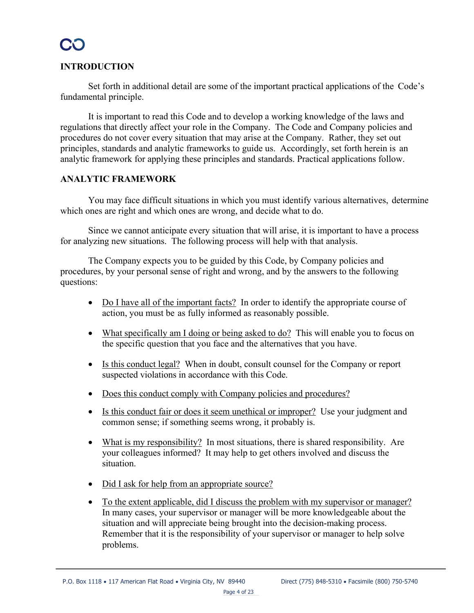#### **INTRODUCTION**

Set forth in additional detail are some of the important practical applications of the Code's fundamental principle.

It is important to read this Code and to develop a working knowledge of the laws and regulations that directly affect your role in the Company. The Code and Company policies and procedures do not cover every situation that may arise at the Company. Rather, they set out principles, standards and analytic frameworks to guide us. Accordingly, set forth herein is an analytic framework for applying these principles and standards. Practical applications follow.

#### **ANALYTIC FRAMEWORK**

You may face difficult situations in which you must identify various alternatives, determine which ones are right and which ones are wrong, and decide what to do.

Since we cannot anticipate every situation that will arise, it is important to have a process for analyzing new situations. The following process will help with that analysis.

The Company expects you to be guided by this Code, by Company policies and procedures, by your personal sense of right and wrong, and by the answers to the following questions:

- Do I have all of the important facts? In order to identify the appropriate course of action, you must be as fully informed as reasonably possible.
- What specifically am I doing or being asked to do? This will enable you to focus on the specific question that you face and the alternatives that you have.
- Is this conduct legal? When in doubt, consult counsel for the Company or report suspected violations in accordance with this Code.
- Does this conduct comply with Company policies and procedures?
- Is this conduct fair or does it seem unethical or improper? Use your judgment and common sense; if something seems wrong, it probably is.
- What is my responsibility? In most situations, there is shared responsibility. Are your colleagues informed? It may help to get others involved and discuss the situation.
- Did I ask for help from an appropriate source?
- To the extent applicable, did I discuss the problem with my supervisor or manager? In many cases, your supervisor or manager will be more knowledgeable about the situation and will appreciate being brought into the decision-making process. Remember that it is the responsibility of your supervisor or manager to help solve problems.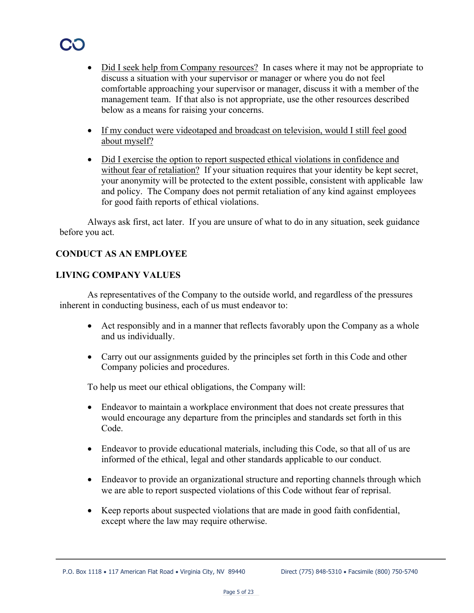- Did I seek help from Company resources? In cases where it may not be appropriate to discuss a situation with your supervisor or manager or where you do not feel comfortable approaching your supervisor or manager, discuss it with a member of the management team. If that also is not appropriate, use the other resources described below as a means for raising your concerns.
- If my conduct were videotaped and broadcast on television, would I still feel good about myself?
- Did I exercise the option to report suspected ethical violations in confidence and without fear of retaliation? If your situation requires that your identity be kept secret, your anonymity will be protected to the extent possible, consistent with applicable law and policy. The Company does not permit retaliation of any kind against employees for good faith reports of ethical violations.

Always ask first, act later. If you are unsure of what to do in any situation, seek guidance before you act.

#### **CONDUCT AS AN EMPLOYEE**

#### **LIVING COMPANY VALUES**

As representatives of the Company to the outside world, and regardless of the pressures inherent in conducting business, each of us must endeavor to:

- Act responsibly and in a manner that reflects favorably upon the Company as a whole and us individually.
- Carry out our assignments guided by the principles set forth in this Code and other Company policies and procedures.

To help us meet our ethical obligations, the Company will:

- Endeavor to maintain a workplace environment that does not create pressures that would encourage any departure from the principles and standards set forth in this Code.
- Endeavor to provide educational materials, including this Code, so that all of us are informed of the ethical, legal and other standards applicable to our conduct.
- Endeavor to provide an organizational structure and reporting channels through which we are able to report suspected violations of this Code without fear of reprisal.
- Keep reports about suspected violations that are made in good faith confidential, except where the law may require otherwise.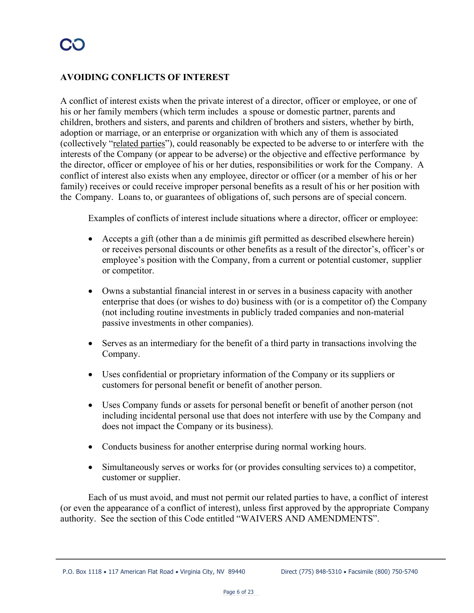### **AVOIDING CONFLICTS OF INTEREST**

A conflict of interest exists when the private interest of a director, officer or employee, or one of his or her family members (which term includes a spouse or domestic partner, parents and children, brothers and sisters, and parents and children of brothers and sisters, whether by birth, adoption or marriage, or an enterprise or organization with which any of them is associated (collectively "related parties"), could reasonably be expected to be adverse to or interfere with the interests of the Company (or appear to be adverse) or the objective and effective performance by the director, officer or employee of his or her duties, responsibilities or work for the Company. A conflict of interest also exists when any employee, director or officer (or a member of his or her family) receives or could receive improper personal benefits as a result of his or her position with the Company. Loans to, or guarantees of obligations of, such persons are of special concern.

Examples of conflicts of interest include situations where a director, officer or employee:

- Accepts a gift (other than a de minimis gift permitted as described elsewhere herein) or receives personal discounts or other benefits as a result of the director's, officer's or employee's position with the Company, from a current or potential customer, supplier or competitor.
- Owns a substantial financial interest in or serves in a business capacity with another enterprise that does (or wishes to do) business with (or is a competitor of) the Company (not including routine investments in publicly traded companies and non-material passive investments in other companies).
- Serves as an intermediary for the benefit of a third party in transactions involving the Company.
- Uses confidential or proprietary information of the Company or its suppliers or customers for personal benefit or benefit of another person.
- Uses Company funds or assets for personal benefit or benefit of another person (not including incidental personal use that does not interfere with use by the Company and does not impact the Company or its business).
- Conducts business for another enterprise during normal working hours.
- Simultaneously serves or works for (or provides consulting services to) a competitor, customer or supplier.

Each of us must avoid, and must not permit our related parties to have, a conflict of interest (or even the appearance of a conflict of interest), unless first approved by the appropriate Company authority. See the section of this Code entitled "WAIVERS AND AMENDMENTS".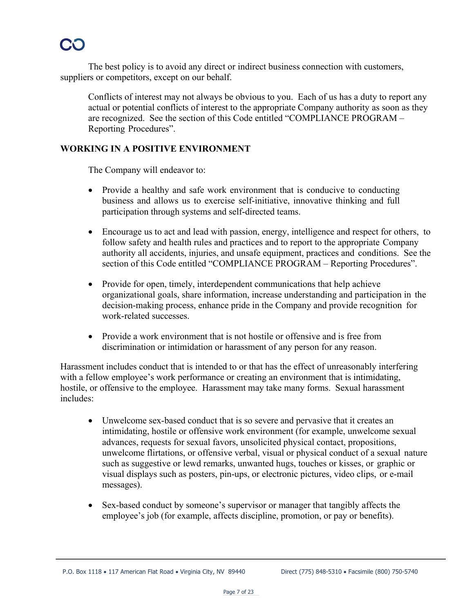The best policy is to avoid any direct or indirect business connection with customers, suppliers or competitors, except on our behalf.

Conflicts of interest may not always be obvious to you. Each of us has a duty to report any actual or potential conflicts of interest to the appropriate Company authority as soon as they are recognized. See the section of this Code entitled "COMPLIANCE PROGRAM – Reporting Procedures".

#### **WORKING IN A POSITIVE ENVIRONMENT**

The Company will endeavor to:

- Provide a healthy and safe work environment that is conducive to conducting business and allows us to exercise self-initiative, innovative thinking and full participation through systems and self-directed teams.
- Encourage us to act and lead with passion, energy, intelligence and respect for others, to follow safety and health rules and practices and to report to the appropriate Company authority all accidents, injuries, and unsafe equipment, practices and conditions. See the section of this Code entitled "COMPLIANCE PROGRAM – Reporting Procedures".
- Provide for open, timely, interdependent communications that help achieve organizational goals, share information, increase understanding and participation in the decision-making process, enhance pride in the Company and provide recognition for work-related successes.
- Provide a work environment that is not hostile or offensive and is free from discrimination or intimidation or harassment of any person for any reason.

Harassment includes conduct that is intended to or that has the effect of unreasonably interfering with a fellow employee's work performance or creating an environment that is intimidating, hostile, or offensive to the employee. Harassment may take many forms. Sexual harassment includes:

- Unwelcome sex-based conduct that is so severe and pervasive that it creates an intimidating, hostile or offensive work environment (for example, unwelcome sexual advances, requests for sexual favors, unsolicited physical contact, propositions, unwelcome flirtations, or offensive verbal, visual or physical conduct of a sexual nature such as suggestive or lewd remarks, unwanted hugs, touches or kisses, or graphic or visual displays such as posters, pin-ups, or electronic pictures, video clips, or e-mail messages).
- Sex-based conduct by someone's supervisor or manager that tangibly affects the employee's job (for example, affects discipline, promotion, or pay or benefits).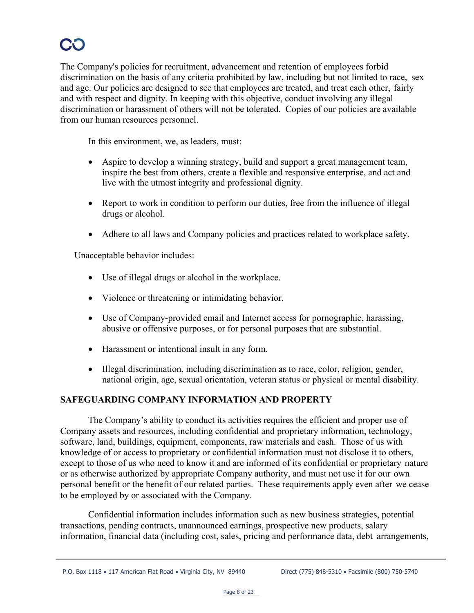## CO

The Company's policies for recruitment, advancement and retention of employees forbid discrimination on the basis of any criteria prohibited by law, including but not limited to race, sex and age. Our policies are designed to see that employees are treated, and treat each other, fairly and with respect and dignity. In keeping with this objective, conduct involving any illegal discrimination or harassment of others will not be tolerated. Copies of our policies are available from our human resources personnel.

In this environment, we, as leaders, must:

- Aspire to develop a winning strategy, build and support a great management team, inspire the best from others, create a flexible and responsive enterprise, and act and live with the utmost integrity and professional dignity.
- Report to work in condition to perform our duties, free from the influence of illegal drugs or alcohol.
- Adhere to all laws and Company policies and practices related to workplace safety.

Unacceptable behavior includes:

- Use of illegal drugs or alcohol in the workplace.
- Violence or threatening or intimidating behavior.
- Use of Company-provided email and Internet access for pornographic, harassing, abusive or offensive purposes, or for personal purposes that are substantial.
- Harassment or intentional insult in any form.
- Illegal discrimination, including discrimination as to race, color, religion, gender, national origin, age, sexual orientation, veteran status or physical or mental disability.

#### **SAFEGUARDING COMPANY INFORMATION AND PROPERTY**

The Company's ability to conduct its activities requires the efficient and proper use of Company assets and resources, including confidential and proprietary information, technology, software, land, buildings, equipment, components, raw materials and cash. Those of us with knowledge of or access to proprietary or confidential information must not disclose it to others, except to those of us who need to know it and are informed of its confidential or proprietary nature or as otherwise authorized by appropriate Company authority, and must not use it for our own personal benefit or the benefit of our related parties. These requirements apply even after we cease to be employed by or associated with the Company.

Confidential information includes information such as new business strategies, potential transactions, pending contracts, unannounced earnings, prospective new products, salary information, financial data (including cost, sales, pricing and performance data, debt arrangements,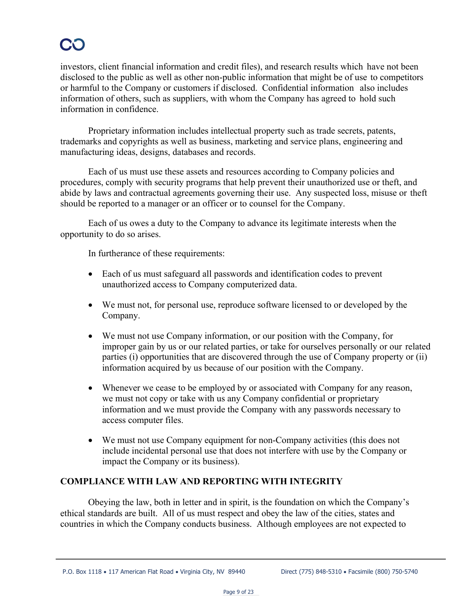investors, client financial information and credit files), and research results which have not been disclosed to the public as well as other non-public information that might be of use to competitors or harmful to the Company or customers if disclosed. Confidential information also includes information of others, such as suppliers, with whom the Company has agreed to hold such information in confidence.

Proprietary information includes intellectual property such as trade secrets, patents, trademarks and copyrights as well as business, marketing and service plans, engineering and manufacturing ideas, designs, databases and records.

Each of us must use these assets and resources according to Company policies and procedures, comply with security programs that help prevent their unauthorized use or theft, and abide by laws and contractual agreements governing their use. Any suspected loss, misuse or theft should be reported to a manager or an officer or to counsel for the Company.

Each of us owes a duty to the Company to advance its legitimate interests when the opportunity to do so arises.

In furtherance of these requirements:

- Each of us must safeguard all passwords and identification codes to prevent unauthorized access to Company computerized data.
- We must not, for personal use, reproduce software licensed to or developed by the Company.
- We must not use Company information, or our position with the Company, for improper gain by us or our related parties, or take for ourselves personally or our related parties (i) opportunities that are discovered through the use of Company property or (ii) information acquired by us because of our position with the Company.
- Whenever we cease to be employed by or associated with Company for any reason, we must not copy or take with us any Company confidential or proprietary information and we must provide the Company with any passwords necessary to access computer files.
- We must not use Company equipment for non-Company activities (this does not include incidental personal use that does not interfere with use by the Company or impact the Company or its business).

### **COMPLIANCE WITH LAW AND REPORTING WITH INTEGRITY**

Obeying the law, both in letter and in spirit, is the foundation on which the Company's ethical standards are built. All of us must respect and obey the law of the cities, states and countries in which the Company conducts business. Although employees are not expected to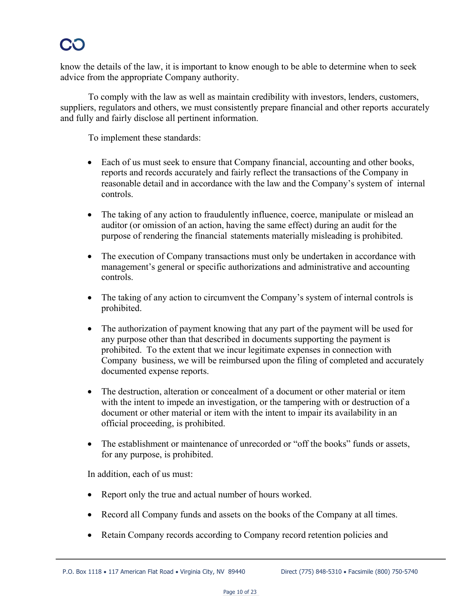know the details of the law, it is important to know enough to be able to determine when to seek advice from the appropriate Company authority.

To comply with the law as well as maintain credibility with investors, lenders, customers, suppliers, regulators and others, we must consistently prepare financial and other reports accurately and fully and fairly disclose all pertinent information.

To implement these standards:

- Each of us must seek to ensure that Company financial, accounting and other books, reports and records accurately and fairly reflect the transactions of the Company in reasonable detail and in accordance with the law and the Company's system of internal controls.
- The taking of any action to fraudulently influence, coerce, manipulate or mislead an auditor (or omission of an action, having the same effect) during an audit for the purpose of rendering the financial statements materially misleading is prohibited.
- The execution of Company transactions must only be undertaken in accordance with management's general or specific authorizations and administrative and accounting controls.
- The taking of any action to circumvent the Company's system of internal controls is prohibited.
- The authorization of payment knowing that any part of the payment will be used for any purpose other than that described in documents supporting the payment is prohibited. To the extent that we incur legitimate expenses in connection with Company business, we will be reimbursed upon the filing of completed and accurately documented expense reports.
- The destruction, alteration or concealment of a document or other material or item with the intent to impede an investigation, or the tampering with or destruction of a document or other material or item with the intent to impair its availability in an official proceeding, is prohibited.
- The establishment or maintenance of unrecorded or "off the books" funds or assets, for any purpose, is prohibited.

In addition, each of us must:

- Report only the true and actual number of hours worked.
- Record all Company funds and assets on the books of the Company at all times.
- Retain Company records according to Company record retention policies and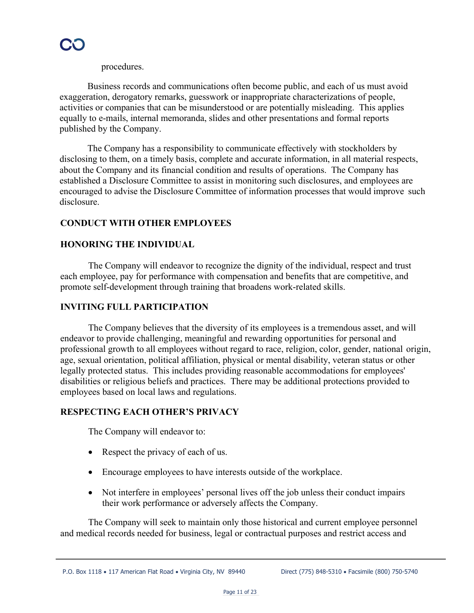procedures.

Business records and communications often become public, and each of us must avoid exaggeration, derogatory remarks, guesswork or inappropriate characterizations of people, activities or companies that can be misunderstood or are potentially misleading. This applies equally to e-mails, internal memoranda, slides and other presentations and formal reports published by the Company.

The Company has a responsibility to communicate effectively with stockholders by disclosing to them, on a timely basis, complete and accurate information, in all material respects, about the Company and its financial condition and results of operations. The Company has established a Disclosure Committee to assist in monitoring such disclosures, and employees are encouraged to advise the Disclosure Committee of information processes that would improve such disclosure.

### **CONDUCT WITH OTHER EMPLOYEES**

#### **HONORING THE INDIVIDUAL**

The Company will endeavor to recognize the dignity of the individual, respect and trust each employee, pay for performance with compensation and benefits that are competitive, and promote self-development through training that broadens work-related skills.

#### **INVITING FULL PARTICIPATION**

The Company believes that the diversity of its employees is a tremendous asset, and will endeavor to provide challenging, meaningful and rewarding opportunities for personal and professional growth to all employees without regard to race, religion, color, gender, national origin, age, sexual orientation, political affiliation, physical or mental disability, veteran status or other legally protected status. This includes providing reasonable accommodations for employees' disabilities or religious beliefs and practices. There may be additional protections provided to employees based on local laws and regulations.

#### **RESPECTING EACH OTHER'S PRIVACY**

The Company will endeavor to:

- Respect the privacy of each of us.
- Encourage employees to have interests outside of the workplace.
- Not interfere in employees' personal lives off the job unless their conduct impairs their work performance or adversely affects the Company.

The Company will seek to maintain only those historical and current employee personnel and medical records needed for business, legal or contractual purposes and restrict access and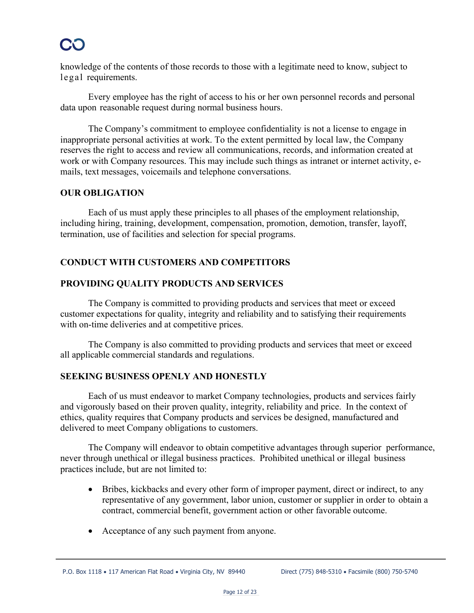knowledge of the contents of those records to those with a legitimate need to know, subject to legal requirements.

Every employee has the right of access to his or her own personnel records and personal data upon reasonable request during normal business hours.

The Company's commitment to employee confidentiality is not a license to engage in inappropriate personal activities at work. To the extent permitted by local law, the Company reserves the right to access and review all communications, records, and information created at work or with Company resources. This may include such things as intranet or internet activity, emails, text messages, voicemails and telephone conversations.

#### **OUR OBLIGATION**

Each of us must apply these principles to all phases of the employment relationship, including hiring, training, development, compensation, promotion, demotion, transfer, layoff, termination, use of facilities and selection for special programs.

### **CONDUCT WITH CUSTOMERS AND COMPETITORS**

#### **PROVIDING QUALITY PRODUCTS AND SERVICES**

The Company is committed to providing products and services that meet or exceed customer expectations for quality, integrity and reliability and to satisfying their requirements with on-time deliveries and at competitive prices.

The Company is also committed to providing products and services that meet or exceed all applicable commercial standards and regulations.

#### **SEEKING BUSINESS OPENLY AND HONESTLY**

Each of us must endeavor to market Company technologies, products and services fairly and vigorously based on their proven quality, integrity, reliability and price. In the context of ethics, quality requires that Company products and services be designed, manufactured and delivered to meet Company obligations to customers.

The Company will endeavor to obtain competitive advantages through superior performance, never through unethical or illegal business practices. Prohibited unethical or illegal business practices include, but are not limited to:

- Bribes, kickbacks and every other form of improper payment, direct or indirect, to any representative of any government, labor union, customer or supplier in order to obtain a contract, commercial benefit, government action or other favorable outcome.
- Acceptance of any such payment from anyone.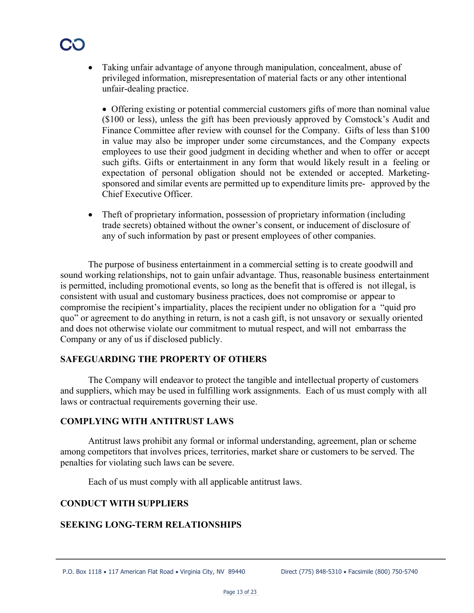• Taking unfair advantage of anyone through manipulation, concealment, abuse of privileged information, misrepresentation of material facts or any other intentional unfair-dealing practice.

• Offering existing or potential commercial customers gifts of more than nominal value (\$100 or less), unless the gift has been previously approved by Comstock's Audit and Finance Committee after review with counsel for the Company. Gifts of less than \$100 in value may also be improper under some circumstances, and the Company expects employees to use their good judgment in deciding whether and when to offer or accept such gifts. Gifts or entertainment in any form that would likely result in a feeling or expectation of personal obligation should not be extended or accepted. Marketingsponsored and similar events are permitted up to expenditure limits pre- approved by the Chief Executive Officer.

• Theft of proprietary information, possession of proprietary information (including trade secrets) obtained without the owner's consent, or inducement of disclosure of any of such information by past or present employees of other companies.

The purpose of business entertainment in a commercial setting is to create goodwill and sound working relationships, not to gain unfair advantage. Thus, reasonable business entertainment is permitted, including promotional events, so long as the benefit that is offered is not illegal, is consistent with usual and customary business practices, does not compromise or appear to compromise the recipient's impartiality, places the recipient under no obligation for a "quid pro quo" or agreement to do anything in return, is not a cash gift, is not unsavory or sexually oriented and does not otherwise violate our commitment to mutual respect, and will not embarrass the Company or any of us if disclosed publicly.

#### **SAFEGUARDING THE PROPERTY OF OTHERS**

The Company will endeavor to protect the tangible and intellectual property of customers and suppliers, which may be used in fulfilling work assignments. Each of us must comply with all laws or contractual requirements governing their use.

#### **COMPLYING WITH ANTITRUST LAWS**

Antitrust laws prohibit any formal or informal understanding, agreement, plan or scheme among competitors that involves prices, territories, market share or customers to be served. The penalties for violating such laws can be severe.

Each of us must comply with all applicable antitrust laws.

#### **CONDUCT WITH SUPPLIERS**

#### **SEEKING LONG-TERM RELATIONSHIPS**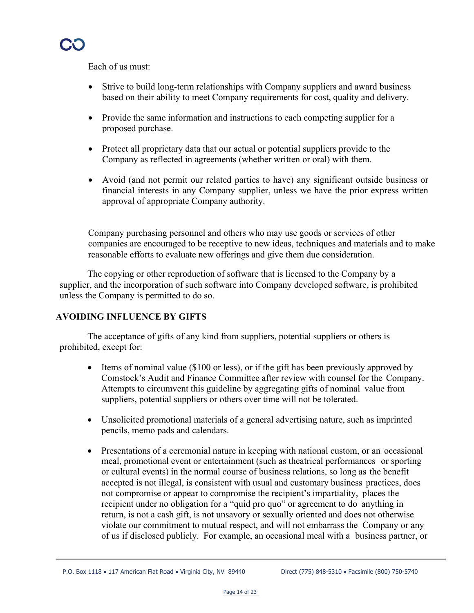Each of us must:

- Strive to build long-term relationships with Company suppliers and award business based on their ability to meet Company requirements for cost, quality and delivery.
- Provide the same information and instructions to each competing supplier for a proposed purchase.
- Protect all proprietary data that our actual or potential suppliers provide to the Company as reflected in agreements (whether written or oral) with them.
- Avoid (and not permit our related parties to have) any significant outside business or financial interests in any Company supplier, unless we have the prior express written approval of appropriate Company authority.

Company purchasing personnel and others who may use goods or services of other companies are encouraged to be receptive to new ideas, techniques and materials and to make reasonable efforts to evaluate new offerings and give them due consideration.

The copying or other reproduction of software that is licensed to the Company by a supplier, and the incorporation of such software into Company developed software, is prohibited unless the Company is permitted to do so.

#### **AVOIDING INFLUENCE BY GIFTS**

The acceptance of gifts of any kind from suppliers, potential suppliers or others is prohibited, except for:

- Items of nominal value (\$100 or less), or if the gift has been previously approved by Comstock's Audit and Finance Committee after review with counsel for the Company. Attempts to circumvent this guideline by aggregating gifts of nominal value from suppliers, potential suppliers or others over time will not be tolerated.
- Unsolicited promotional materials of a general advertising nature, such as imprinted pencils, memo pads and calendars.
- Presentations of a ceremonial nature in keeping with national custom, or an occasional meal, promotional event or entertainment (such as theatrical performances or sporting or cultural events) in the normal course of business relations, so long as the benefit accepted is not illegal, is consistent with usual and customary business practices, does not compromise or appear to compromise the recipient's impartiality, places the recipient under no obligation for a "quid pro quo" or agreement to do anything in return, is not a cash gift, is not unsavory or sexually oriented and does not otherwise violate our commitment to mutual respect, and will not embarrass the Company or any of us if disclosed publicly. For example, an occasional meal with a business partner, or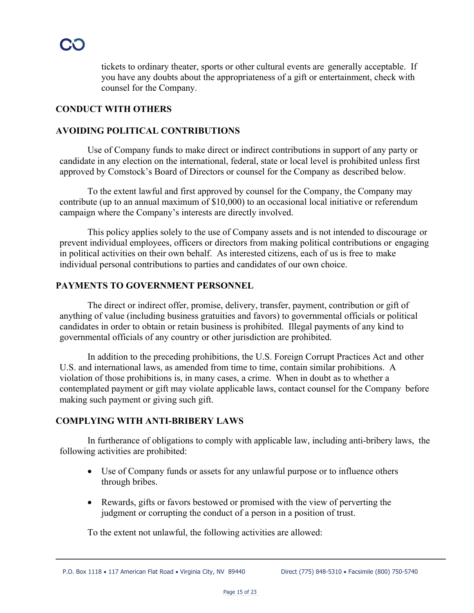tickets to ordinary theater, sports or other cultural events are generally acceptable. If you have any doubts about the appropriateness of a gift or entertainment, check with counsel for the Company.

#### **CONDUCT WITH OTHERS**

#### **AVOIDING POLITICAL CONTRIBUTIONS**

Use of Company funds to make direct or indirect contributions in support of any party or candidate in any election on the international, federal, state or local level is prohibited unless first approved by Comstock's Board of Directors or counsel for the Company as described below.

To the extent lawful and first approved by counsel for the Company, the Company may contribute (up to an annual maximum of \$10,000) to an occasional local initiative or referendum campaign where the Company's interests are directly involved.

This policy applies solely to the use of Company assets and is not intended to discourage or prevent individual employees, officers or directors from making political contributions or engaging in political activities on their own behalf. As interested citizens, each of us is free to make individual personal contributions to parties and candidates of our own choice.

#### **PAYMENTS TO GOVERNMENT PERSONNEL**

The direct or indirect offer, promise, delivery, transfer, payment, contribution or gift of anything of value (including business gratuities and favors) to governmental officials or political candidates in order to obtain or retain business is prohibited. Illegal payments of any kind to governmental officials of any country or other jurisdiction are prohibited.

In addition to the preceding prohibitions, the U.S. Foreign Corrupt Practices Act and other U.S. and international laws, as amended from time to time, contain similar prohibitions. A violation of those prohibitions is, in many cases, a crime. When in doubt as to whether a contemplated payment or gift may violate applicable laws, contact counsel for the Company before making such payment or giving such gift.

#### **COMPLYING WITH ANTI-BRIBERY LAWS**

In furtherance of obligations to comply with applicable law, including anti-bribery laws, the following activities are prohibited:

- Use of Company funds or assets for any unlawful purpose or to influence others through bribes.
- Rewards, gifts or favors bestowed or promised with the view of perverting the judgment or corrupting the conduct of a person in a position of trust.

To the extent not unlawful, the following activities are allowed: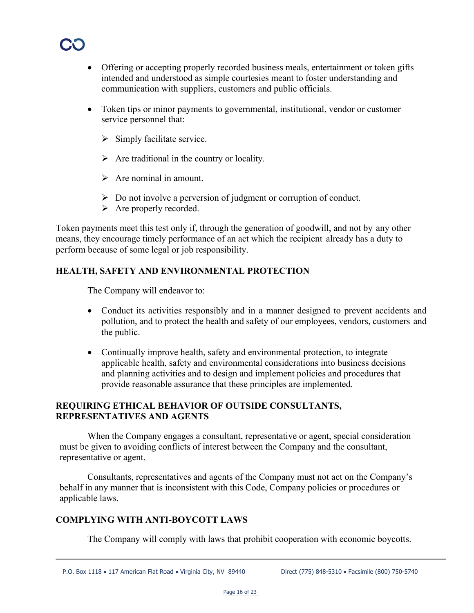

- Offering or accepting properly recorded business meals, entertainment or token gifts intended and understood as simple courtesies meant to foster understanding and communication with suppliers, customers and public officials.
- Token tips or minor payments to governmental, institutional, vendor or customer service personnel that:
	- $\triangleright$  Simply facilitate service.
	- $\triangleright$  Are traditional in the country or locality.
	- $\triangleright$  Are nominal in amount.
	- $\triangleright$  Do not involve a perversion of judgment or corruption of conduct.
	- $\triangleright$  Are properly recorded.

Token payments meet this test only if, through the generation of goodwill, and not by any other means, they encourage timely performance of an act which the recipient already has a duty to perform because of some legal or job responsibility.

#### **HEALTH, SAFETY AND ENVIRONMENTAL PROTECTION**

The Company will endeavor to:

- Conduct its activities responsibly and in a manner designed to prevent accidents and pollution, and to protect the health and safety of our employees, vendors, customers and the public.
- Continually improve health, safety and environmental protection, to integrate applicable health, safety and environmental considerations into business decisions and planning activities and to design and implement policies and procedures that provide reasonable assurance that these principles are implemented.

#### **REQUIRING ETHICAL BEHAVIOR OF OUTSIDE CONSULTANTS, REPRESENTATIVES AND AGENTS**

When the Company engages a consultant, representative or agent, special consideration must be given to avoiding conflicts of interest between the Company and the consultant, representative or agent.

Consultants, representatives and agents of the Company must not act on the Company's behalf in any manner that is inconsistent with this Code, Company policies or procedures or applicable laws.

#### **COMPLYING WITH ANTI-BOYCOTT LAWS**

The Company will comply with laws that prohibit cooperation with economic boycotts.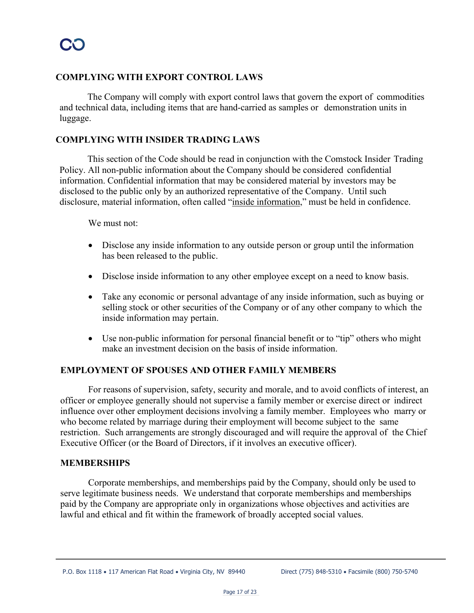#### **COMPLYING WITH EXPORT CONTROL LAWS**

The Company will comply with export control laws that govern the export of commodities and technical data, including items that are hand-carried as samples or demonstration units in luggage.

#### **COMPLYING WITH INSIDER TRADING LAWS**

This section of the Code should be read in conjunction with the Comstock Insider Trading Policy. All non-public information about the Company should be considered confidential information. Confidential information that may be considered material by investors may be disclosed to the public only by an authorized representative of the Company. Until such disclosure, material information, often called "inside information," must be held in confidence.

We must not:

- Disclose any inside information to any outside person or group until the information has been released to the public.
- Disclose inside information to any other employee except on a need to know basis.
- Take any economic or personal advantage of any inside information, such as buying or selling stock or other securities of the Company or of any other company to which the inside information may pertain.
- Use non-public information for personal financial benefit or to "tip" others who might make an investment decision on the basis of inside information.

#### **EMPLOYMENT OF SPOUSES AND OTHER FAMILY MEMBERS**

For reasons of supervision, safety, security and morale, and to avoid conflicts of interest, an officer or employee generally should not supervise a family member or exercise direct or indirect influence over other employment decisions involving a family member. Employees who marry or who become related by marriage during their employment will become subject to the same restriction. Such arrangements are strongly discouraged and will require the approval of the Chief Executive Officer (or the Board of Directors, if it involves an executive officer).

#### **MEMBERSHIPS**

Corporate memberships, and memberships paid by the Company, should only be used to serve legitimate business needs. We understand that corporate memberships and memberships paid by the Company are appropriate only in organizations whose objectives and activities are lawful and ethical and fit within the framework of broadly accepted social values.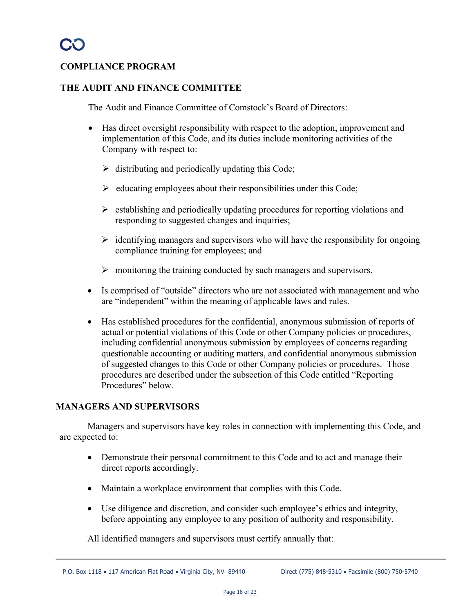#### **COMPLIANCE PROGRAM**

#### **THE AUDIT AND FINANCE COMMITTEE**

The Audit and Finance Committee of Comstock's Board of Directors:

- Has direct oversight responsibility with respect to the adoption, improvement and implementation of this Code, and its duties include monitoring activities of the Company with respect to:
	- $\triangleright$  distributing and periodically updating this Code;
	- $\triangleright$  educating employees about their responsibilities under this Code;
	- $\triangleright$  establishing and periodically updating procedures for reporting violations and responding to suggested changes and inquiries;
	- $\triangleright$  identifying managers and supervisors who will have the responsibility for ongoing compliance training for employees; and
	- $\triangleright$  monitoring the training conducted by such managers and supervisors.
- Is comprised of "outside" directors who are not associated with management and who are "independent" within the meaning of applicable laws and rules.
- Has established procedures for the confidential, anonymous submission of reports of actual or potential violations of this Code or other Company policies or procedures, including confidential anonymous submission by employees of concerns regarding questionable accounting or auditing matters, and confidential anonymous submission of suggested changes to this Code or other Company policies or procedures. Those procedures are described under the subsection of this Code entitled "Reporting Procedures" below.

#### **MANAGERS AND SUPERVISORS**

Managers and supervisors have key roles in connection with implementing this Code, and are expected to:

- Demonstrate their personal commitment to this Code and to act and manage their direct reports accordingly.
- Maintain a workplace environment that complies with this Code.
- Use diligence and discretion, and consider such employee's ethics and integrity, before appointing any employee to any position of authority and responsibility.

All identified managers and supervisors must certify annually that: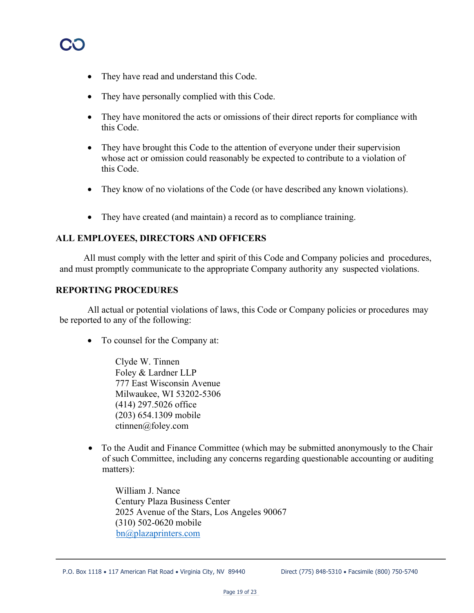- They have read and understand this Code.
- They have personally complied with this Code.
- They have monitored the acts or omissions of their direct reports for compliance with this Code.
- They have brought this Code to the attention of everyone under their supervision whose act or omission could reasonably be expected to contribute to a violation of this Code.
- They know of no violations of the Code (or have described any known violations).
- They have created (and maintain) a record as to compliance training.

#### **ALL EMPLOYEES, DIRECTORS AND OFFICERS**

All must comply with the letter and spirit of this Code and Company policies and procedures, and must promptly communicate to the appropriate Company authority any suspected violations.

#### **REPORTING PROCEDURES**

All actual or potential violations of laws, this Code or Company policies or procedures may be reported to any of the following:

• To counsel for the Company at:

Clyde W. Tinnen Foley & Lardner LLP 777 East Wisconsin Avenue Milwaukee, WI 53202-5306 (414) 297.5026 office (203) 654.1309 mobile ctinnen@foley.com

• To the Audit and Finance Committee (which may be submitted anonymously to the Chair of such Committee, including any concerns regarding questionable accounting or auditing matters):

William J. Nance Century Plaza Business Center 2025 Avenue of the Stars, Los Angeles 90067 (310) 502-0620 mobile bn@plazaprinters.com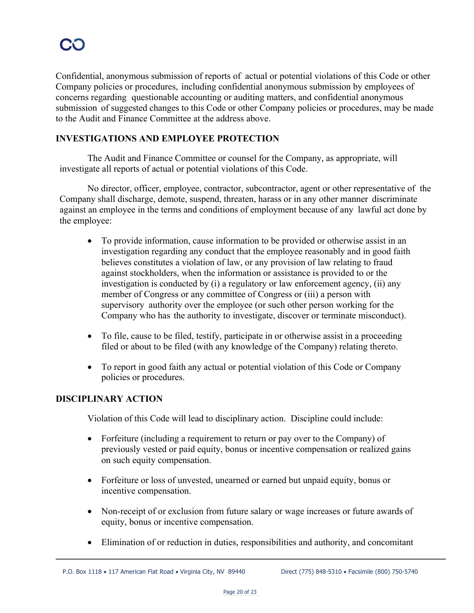Confidential, anonymous submission of reports of actual or potential violations of this Code or other Company policies or procedures, including confidential anonymous submission by employees of concerns regarding questionable accounting or auditing matters, and confidential anonymous submission of suggested changes to this Code or other Company policies or procedures, may be made to the Audit and Finance Committee at the address above.

#### **INVESTIGATIONS AND EMPLOYEE PROTECTION**

The Audit and Finance Committee or counsel for the Company, as appropriate, will investigate all reports of actual or potential violations of this Code.

No director, officer, employee, contractor, subcontractor, agent or other representative of the Company shall discharge, demote, suspend, threaten, harass or in any other manner discriminate against an employee in the terms and conditions of employment because of any lawful act done by the employee:

- To provide information, cause information to be provided or otherwise assist in an investigation regarding any conduct that the employee reasonably and in good faith believes constitutes a violation of law, or any provision of law relating to fraud against stockholders, when the information or assistance is provided to or the investigation is conducted by (i) a regulatory or law enforcement agency, (ii) any member of Congress or any committee of Congress or (iii) a person with supervisory authority over the employee (or such other person working for the Company who has the authority to investigate, discover or terminate misconduct).
- To file, cause to be filed, testify, participate in or otherwise assist in a proceeding filed or about to be filed (with any knowledge of the Company) relating thereto.
- To report in good faith any actual or potential violation of this Code or Company policies or procedures.

#### **DISCIPLINARY ACTION**

Violation of this Code will lead to disciplinary action. Discipline could include:

- Forfeiture (including a requirement to return or pay over to the Company) of previously vested or paid equity, bonus or incentive compensation or realized gains on such equity compensation.
- Forfeiture or loss of unvested, unearned or earned but unpaid equity, bonus or incentive compensation.
- Non-receipt of or exclusion from future salary or wage increases or future awards of equity, bonus or incentive compensation.
- Elimination of or reduction in duties, responsibilities and authority, and concomitant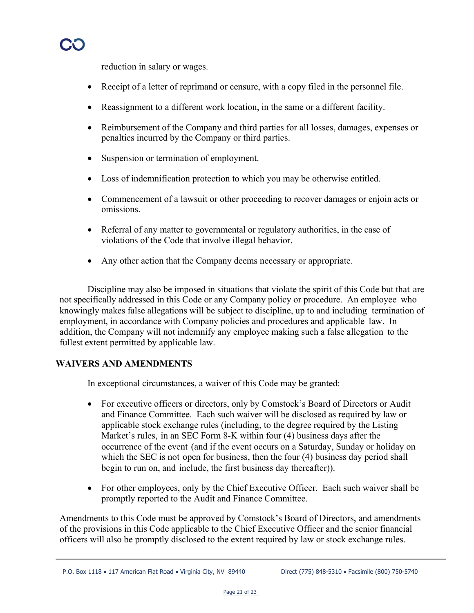reduction in salary or wages.

- Receipt of a letter of reprimand or censure, with a copy filed in the personnel file.
- Reassignment to a different work location, in the same or a different facility.
- Reimbursement of the Company and third parties for all losses, damages, expenses or penalties incurred by the Company or third parties.
- Suspension or termination of employment.
- Loss of indemnification protection to which you may be otherwise entitled.
- Commencement of a lawsuit or other proceeding to recover damages or enjoin acts or omissions.
- Referral of any matter to governmental or regulatory authorities, in the case of violations of the Code that involve illegal behavior.
- Any other action that the Company deems necessary or appropriate.

Discipline may also be imposed in situations that violate the spirit of this Code but that are not specifically addressed in this Code or any Company policy or procedure. An employee who knowingly makes false allegations will be subject to discipline, up to and including termination of employment, in accordance with Company policies and procedures and applicable law. In addition, the Company will not indemnify any employee making such a false allegation to the fullest extent permitted by applicable law.

#### **WAIVERS AND AMENDMENTS**

In exceptional circumstances, a waiver of this Code may be granted:

- For executive officers or directors, only by Comstock's Board of Directors or Audit and Finance Committee. Each such waiver will be disclosed as required by law or applicable stock exchange rules (including, to the degree required by the Listing Market's rules, in an SEC Form 8-K within four (4) business days after the occurrence of the event (and if the event occurs on a Saturday, Sunday or holiday on which the SEC is not open for business, then the four (4) business day period shall begin to run on, and include, the first business day thereafter)).
- For other employees, only by the Chief Executive Officer. Each such waiver shall be promptly reported to the Audit and Finance Committee.

Amendments to this Code must be approved by Comstock's Board of Directors, and amendments of the provisions in this Code applicable to the Chief Executive Officer and the senior financial officers will also be promptly disclosed to the extent required by law or stock exchange rules.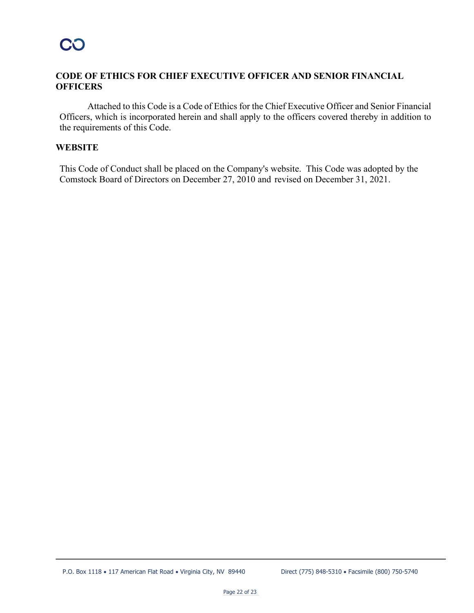#### **CODE OF ETHICS FOR CHIEF EXECUTIVE OFFICER AND SENIOR FINANCIAL OFFICERS**

Attached to this Code is a Code of Ethics for the Chief Executive Officer and Senior Financial Officers, which is incorporated herein and shall apply to the officers covered thereby in addition to the requirements of this Code.

#### **WEBSITE**

This Code of Conduct shall be placed on the Company's website. This Code was adopted by the Comstock Board of Directors on December 27, 2010 and revised on December 31, 2021.